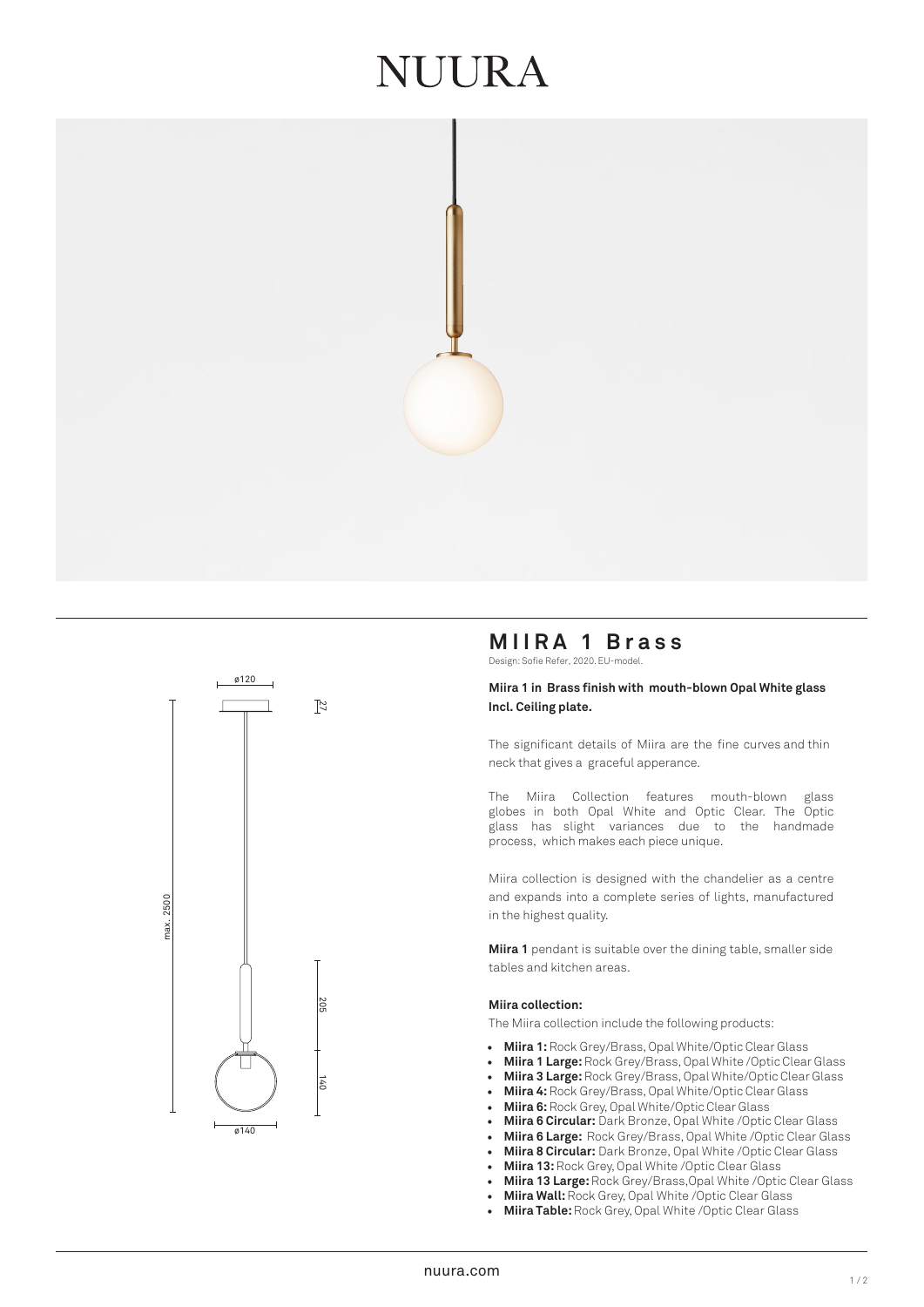## IUURA





### **MIIRA 1 Brass**

Design: Sofie Refer, 2020. EU-model.

#### **Miira 1 in Brass finish with mouth-blown Opal White glass Incl. Ceiling plate.**

The significant details of Miira are the fine curves and thin neck that gives a graceful apperance.

The Miira Collection features mouth-blown glass globes in both Opal White and Optic Clear. The Optic glass has slight variances due to the handmade process, which makes each piece unique.

Miira collection is designed with the chandelier as a centre and expands into a complete series of lights, manufactured in the highest quality.

**Miira 1** pendant is suitable over the dining table, smaller side tables and kitchen areas.

#### **Miira collection:**

The Miira collection include the following products:

- **Miira 1:** Rock Grey/Brass, Opal White/Optic Clear Glass
- **Miira 1 Large:** Rock Grey/Brass, Opal White /Optic Clear Glass
- **Miira 3 Large:** Rock Grey/Brass, Opal White/Optic Clear Glass
- **Miira 4:** Rock Grey/Brass, Opal White/Optic Clear Glass
- **Miira 6:**Rock Grey, Opal White/Optic Clear Glass
- **Miira 6 Circular:** Dark Bronze, Opal White /Optic Clear Glass
- **Miira 6 Large:** Rock Grey/Brass, Opal White /Optic Clear Glass
- **Miira 8 Circular:** Dark Bronze, Opal White /Optic Clear Glass
- **Miira 13:** Rock Grey, Opal White /Optic Clear Glass
- **Miira 13 Large:** Rock Grey/Brass,Opal White /Optic Clear Glass
- **Miira Wall:**Rock Grey, Opal White /Optic Clear Glass
- **Miira Table:** Rock Grey, Opal White /Optic Clear Glass